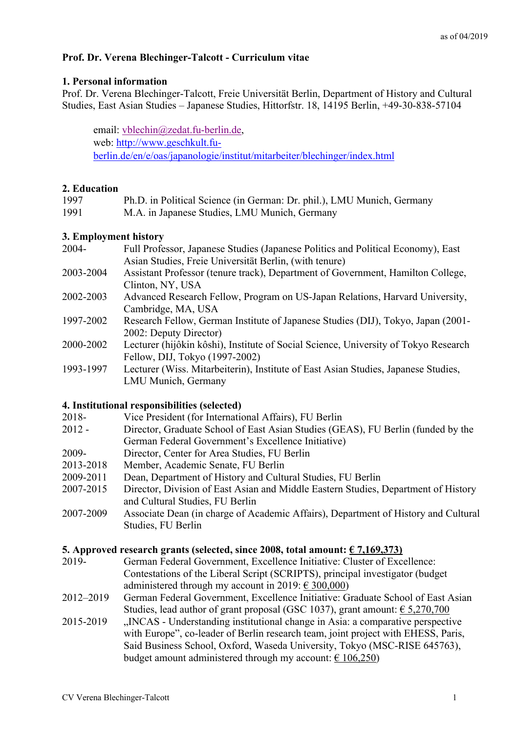# **Prof. Dr. Verena Blechinger-Talcott - Curriculum vitae**

## **1. Personal information**

Prof. Dr. Verena Blechinger-Talcott, Freie Universität Berlin, Department of History and Cultural Studies, East Asian Studies – Japanese Studies, Hittorfstr. 18, 14195 Berlin, +49-30-838-57104

email: vblechin@zedat.fu-berlin.de, web: http://www.geschkult.fuberlin.de/en/e/oas/japanologie/institut/mitarbeiter/blechinger/index.html

## **2. Education**

| 1997 | Ph.D. in Political Science (in German: Dr. phil.), LMU Munich, Germany |
|------|------------------------------------------------------------------------|
| 1991 | M.A. in Japanese Studies, LMU Munich, Germany                          |

## **3. Employment history**

| 2004-     | Full Professor, Japanese Studies (Japanese Politics and Political Economy), East    |
|-----------|-------------------------------------------------------------------------------------|
|           | Asian Studies, Freie Universität Berlin, (with tenure)                              |
| 2003-2004 | Assistant Professor (tenure track), Department of Government, Hamilton College,     |
|           | Clinton, NY, USA                                                                    |
| 2002-2003 | Advanced Research Fellow, Program on US-Japan Relations, Harvard University,        |
|           | Cambridge, MA, USA                                                                  |
| 1997-2002 | Research Fellow, German Institute of Japanese Studies (DIJ), Tokyo, Japan (2001-    |
|           | 2002: Deputy Director)                                                              |
| 2000-2002 | Lecturer (hijôkin kôshi), Institute of Social Science, University of Tokyo Research |
|           | Fellow, DIJ, Tokyo (1997-2002)                                                      |
| 1993-1997 | Lecturer (Wiss. Mitarbeiterin), Institute of East Asian Studies, Japanese Studies,  |
|           | LMU Munich, Germany                                                                 |
|           |                                                                                     |
|           | 4. Institutional responsibilities (selected)                                        |

- 2018- Vice President (for International Affairs), FU Berlin
- 2012 Director, Graduate School of East Asian Studies (GEAS), FU Berlin (funded by the German Federal Government's Excellence Initiative)
- 2009- Director, Center for Area Studies, FU Berlin
- 2013-2018 Member, Academic Senate, FU Berlin
- 2009-2011 Dean, Department of History and Cultural Studies, FU Berlin
- 2007-2015 Director, Division of East Asian and Middle Eastern Studies, Department of History and Cultural Studies, FU Berlin
- 2007-2009 Associate Dean (in charge of Academic Affairs), Department of History and Cultural Studies, FU Berlin

## **5.** Approved research grants (selected, since 2008, total amount:  $\epsilon$  7,169,373)

- 2019- German Federal Government, Excellence Initiative: Cluster of Excellence: Contestations of the Liberal Script (SCRIPTS), principal investigator (budget administered through my account in 2019:  $\in$  300,000)
- 2012–2019 German Federal Government, Excellence Initiative: Graduate School of East Asian Studies, lead author of grant proposal (GSC 1037), grant amount:  $\epsilon$  5,270,700
- 2015-2019 "INCAS Understanding institutional change in Asia: a comparative perspective with Europe", co-leader of Berlin research team, joint project with EHESS, Paris, Said Business School, Oxford, Waseda University, Tokyo (MSC-RISE 645763), budget amount administered through my account:  $\epsilon$  106,250)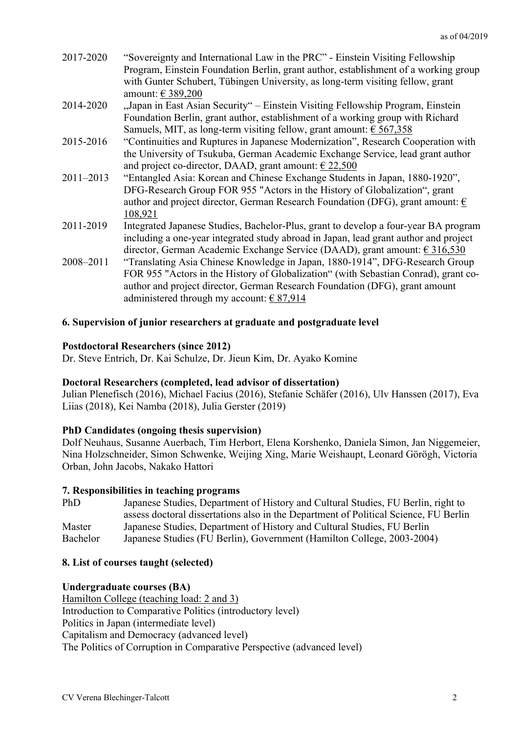- 2017-2020 "Sovereignty and International Law in the PRC" Einstein Visiting Fellowship Program, Einstein Foundation Berlin, grant author, establishment of a working group with Gunter Schubert, Tübingen University, as long-term visiting fellow, grant amount: € 389,200
- 2014-2020 "Japan in East Asian Security" Einstein Visiting Fellowship Program, Einstein Foundation Berlin, grant author, establishment of a working group with Richard Samuels, MIT, as long-term visiting fellow, grant amount:  $\epsilon$  567,358
- 2015-2016 "Continuities and Ruptures in Japanese Modernization", Research Cooperation with the University of Tsukuba, German Academic Exchange Service, lead grant author and project co-director, DAAD, grant amount:  $\epsilon$  22,500
- 2011–2013 "Entangled Asia: Korean and Chinese Exchange Students in Japan, 1880-1920", DFG-Research Group FOR 955 "Actors in the History of Globalization", grant author and project director, German Research Foundation (DFG), grant amount:  $\epsilon$ 108,921
- 2011-2019 Integrated Japanese Studies, Bachelor-Plus, grant to develop a four-year BA program including a one-year integrated study abroad in Japan, lead grant author and project director, German Academic Exchange Service (DAAD), grant amount: € 316,530
- 2008–2011 "Translating Asia Chinese Knowledge in Japan, 1880-1914", DFG-Research Group FOR 955 "Actors in the History of Globalization" (with Sebastian Conrad), grant coauthor and project director, German Research Foundation (DFG), grant amount administered through my account:  $\epsilon$  87,914

# **6. Supervision of junior researchers at graduate and postgraduate level**

## **Postdoctoral Researchers (since 2012)**

Dr. Steve Entrich, Dr. Kai Schulze, Dr. Jieun Kim, Dr. Ayako Komine

# **Doctoral Researchers (completed, lead advisor of dissertation)**

Julian Plenefisch (2016), Michael Facius (2016), Stefanie Schäfer (2016), Ulv Hanssen (2017), Eva Liias (2018), Kei Namba (2018), Julia Gerster (2019)

# **PhD Candidates (ongoing thesis supervision)**

Dolf Neuhaus, Susanne Auerbach, Tim Herbort, Elena Korshenko, Daniela Simon, Jan Niggemeier, Nina Holzschneider, Simon Schwenke, Weijing Xing, Marie Weishaupt, Leonard Görögh, Victoria Orban, John Jacobs, Nakako Hattori

## **7. Responsibilities in teaching programs**

PhD Japanese Studies, Department of History and Cultural Studies, FU Berlin, right to assess doctoral dissertations also in the Department of Political Science, FU Berlin Master Japanese Studies, Department of History and Cultural Studies, FU Berlin Bachelor Japanese Studies (FU Berlin), Government (Hamilton College, 2003-2004)

# **8. List of courses taught (selected)**

## **Undergraduate courses (BA)**

Hamilton College (teaching load: 2 and 3) Introduction to Comparative Politics (introductory level) Politics in Japan (intermediate level) Capitalism and Democracy (advanced level) The Politics of Corruption in Comparative Perspective (advanced level)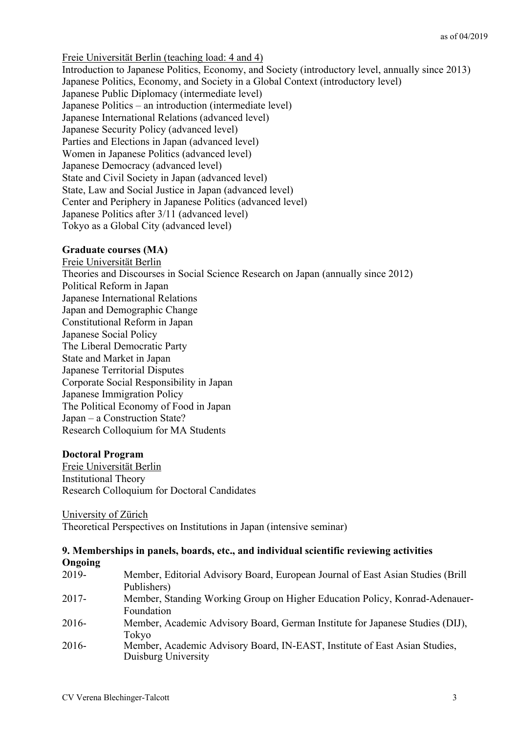Freie Universität Berlin (teaching load: 4 and 4) Introduction to Japanese Politics, Economy, and Society (introductory level, annually since 2013) Japanese Politics, Economy, and Society in a Global Context (introductory level) Japanese Public Diplomacy (intermediate level) Japanese Politics – an introduction (intermediate level) Japanese International Relations (advanced level) Japanese Security Policy (advanced level) Parties and Elections in Japan (advanced level) Women in Japanese Politics (advanced level) Japanese Democracy (advanced level) State and Civil Society in Japan (advanced level) State, Law and Social Justice in Japan (advanced level) Center and Periphery in Japanese Politics (advanced level) Japanese Politics after 3/11 (advanced level) Tokyo as a Global City (advanced level)

#### **Graduate courses (MA)**

Freie Universität Berlin Theories and Discourses in Social Science Research on Japan (annually since 2012) Political Reform in Japan Japanese International Relations Japan and Demographic Change Constitutional Reform in Japan Japanese Social Policy The Liberal Democratic Party State and Market in Japan Japanese Territorial Disputes Corporate Social Responsibility in Japan Japanese Immigration Policy The Political Economy of Food in Japan Japan – a Construction State? Research Colloquium for MA Students

#### **Doctoral Program**

Freie Universität Berlin Institutional Theory Research Colloquium for Doctoral Candidates

University of Zürich

Theoretical Perspectives on Institutions in Japan (intensive seminar)

| 9. Memberships in panels, boards, etc., and individual scientific reviewing activities |                                                                                  |
|----------------------------------------------------------------------------------------|----------------------------------------------------------------------------------|
| Ongoing                                                                                |                                                                                  |
| 2019-                                                                                  | Member, Editorial Advisory Board, European Journal of East Asian Studies (Brill) |

| 2017     | NUMBUL, Editorial Advisory Doard, Editopcan Journal of East Asian Studies (Drift<br>Publishers)   |
|----------|---------------------------------------------------------------------------------------------------|
| $2017 -$ | Member, Standing Working Group on Higher Education Policy, Konrad-Adenauer-                       |
|          | Foundation                                                                                        |
| $2016-$  | Member, Academic Advisory Board, German Institute for Japanese Studies (DIJ),                     |
|          | Tokyo                                                                                             |
| $2016-$  | Member, Academic Advisory Board, IN-EAST, Institute of East Asian Studies,<br>Duisburg University |
|          |                                                                                                   |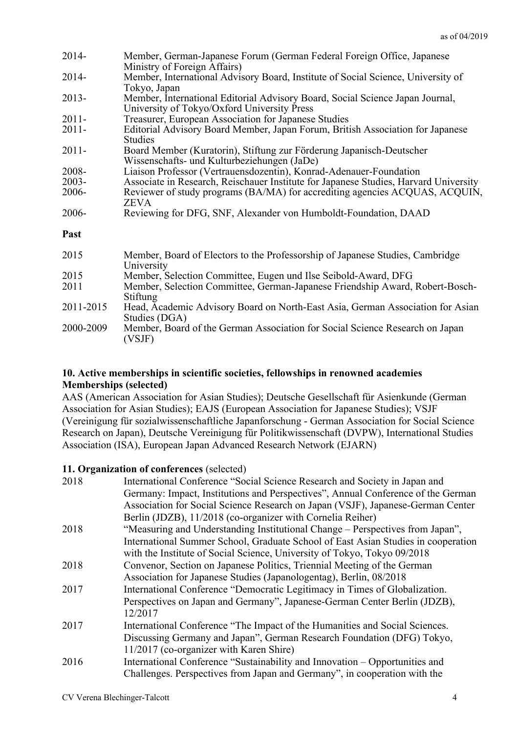| $2014 -$  | Member, German-Japanese Forum (German Federal Foreign Office, Japanese<br>Ministry of Foreign Affairs)                       |
|-----------|------------------------------------------------------------------------------------------------------------------------------|
| $2014 -$  | Member, International Advisory Board, Institute of Social Science, University of<br>Tokyo, Japan                             |
| $2013-$   | Member, International Editorial Advisory Board, Social Science Japan Journal,<br>University of Tokyo/Oxford University Press |
| $2011 -$  | Treasurer, European Association for Japanese Studies                                                                         |
| $2011 -$  | Editorial Advisory Board Member, Japan Forum, British Association for Japanese<br><b>Studies</b>                             |
| $2011 -$  | Board Member (Kuratorin), Stiftung zur Förderung Japanisch-Deutscher<br>Wissenschafts- und Kulturbeziehungen (JaDe)          |
| 2008-     | Liaison Professor (Vertrauensdozentin), Konrad-Adenauer-Foundation                                                           |
| $2003 -$  | Associate in Research, Reischauer Institute for Japanese Studies, Harvard University                                         |
| 2006-     | Reviewer of study programs (BA/MA) for accrediting agencies ACQUAS, ACQUIN,<br><b>ZEVA</b>                                   |
| 2006-     | Reviewing for DFG, SNF, Alexander von Humboldt-Foundation, DAAD                                                              |
| Past      |                                                                                                                              |
| 2015      | Member, Board of Electors to the Professorship of Japanese Studies, Cambridge<br>University                                  |
| 2015      | Member, Selection Committee, Eugen und Ilse Seibold-Award, DFG                                                               |
| 2011      | Member, Selection Committee, German-Japanese Friendship Award, Robert-Bosch-<br>Stiftung                                     |
| 2011-2015 | Head, Academic Advisory Board on North-East Asia, German Association for Asian<br>Studies (DGA)                              |
| 2000-2009 | Member, Board of the German Association for Social Science Research on Japan<br>(VSJF)                                       |

# **10. Active memberships in scientific societies, fellowships in renowned academies Memberships (selected)**

AAS (American Association for Asian Studies); Deutsche Gesellschaft für Asienkunde (German Association for Asian Studies); EAJS (European Association for Japanese Studies); VSJF (Vereinigung für sozialwissenschaftliche Japanforschung - German Association for Social Science Research on Japan), Deutsche Vereinigung für Politikwissenschaft (DVPW), International Studies Association (ISA), European Japan Advanced Research Network (EJARN)

# **11. Organization of conferences** (selected)

| 2018 | International Conference "Social Science Research and Society in Japan and        |
|------|-----------------------------------------------------------------------------------|
|      | Germany: Impact, Institutions and Perspectives", Annual Conference of the German  |
|      | Association for Social Science Research on Japan (VSJF), Japanese-German Center   |
|      | Berlin (JDZB), 11/2018 (co-organizer with Cornelia Reiher)                        |
| 2018 | "Measuring and Understanding Institutional Change – Perspectives from Japan",     |
|      | International Summer School, Graduate School of East Asian Studies in cooperation |
|      | with the Institute of Social Science, University of Tokyo, Tokyo 09/2018          |
| 2018 | Convenor, Section on Japanese Politics, Triennial Meeting of the German           |
|      | Association for Japanese Studies (Japanologentag), Berlin, 08/2018                |
| 2017 | International Conference "Democratic Legitimacy in Times of Globalization.        |
|      | Perspectives on Japan and Germany", Japanese-German Center Berlin (JDZB),         |
|      | 12/2017                                                                           |
| 2017 | International Conference "The Impact of the Humanities and Social Sciences.       |
|      | Discussing Germany and Japan", German Research Foundation (DFG) Tokyo,            |
|      | 11/2017 (co-organizer with Karen Shire)                                           |
| 2016 | International Conference "Sustainability and Innovation – Opportunities and       |
|      | Challenges. Perspectives from Japan and Germany", in cooperation with the         |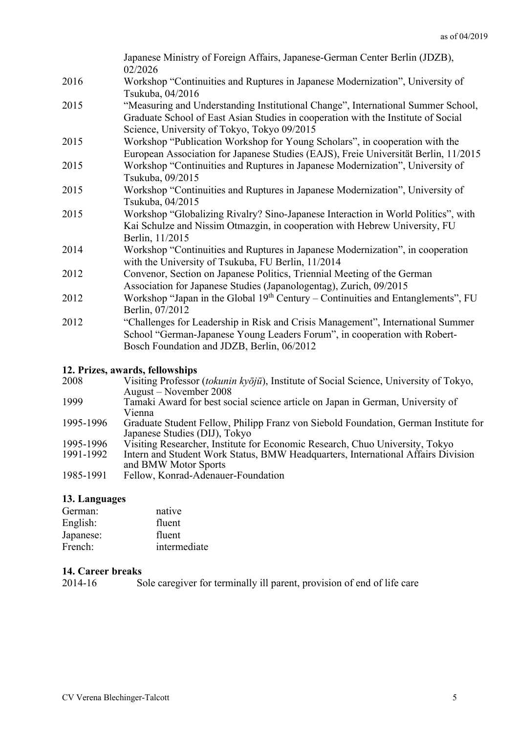|      | Japanese Ministry of Foreign Affairs, Japanese-German Center Berlin (JDZB),<br>02/2026                                                                                                                               |
|------|----------------------------------------------------------------------------------------------------------------------------------------------------------------------------------------------------------------------|
| 2016 | Workshop "Continuities and Ruptures in Japanese Modernization", University of<br>Tsukuba, 04/2016                                                                                                                    |
| 2015 | "Measuring and Understanding Institutional Change", International Summer School,<br>Graduate School of East Asian Studies in cooperation with the Institute of Social<br>Science, University of Tokyo, Tokyo 09/2015 |
| 2015 | Workshop "Publication Workshop for Young Scholars", in cooperation with the<br>European Association for Japanese Studies (EAJS), Freie Universität Berlin, 11/2015                                                   |
| 2015 | Workshop "Continuities and Ruptures in Japanese Modernization", University of<br>Tsukuba, 09/2015                                                                                                                    |
| 2015 | Workshop "Continuities and Ruptures in Japanese Modernization", University of<br>Tsukuba, 04/2015                                                                                                                    |
| 2015 | Workshop "Globalizing Rivalry? Sino-Japanese Interaction in World Politics", with<br>Kai Schulze and Nissim Otmazgin, in cooperation with Hebrew University, FU<br>Berlin, 11/2015                                   |
| 2014 | Workshop "Continuities and Ruptures in Japanese Modernization", in cooperation<br>with the University of Tsukuba, FU Berlin, 11/2014                                                                                 |
| 2012 | Convenor, Section on Japanese Politics, Triennial Meeting of the German<br>Association for Japanese Studies (Japanologentag), Zurich, 09/2015                                                                        |
| 2012 | Workshop "Japan in the Global 19 <sup>th</sup> Century – Continuities and Entanglements", FU<br>Berlin, 07/2012                                                                                                      |
| 2012 | "Challenges for Leadership in Risk and Crisis Management", International Summer<br>School "German-Japanese Young Leaders Forum", in cooperation with Robert-<br>Bosch Foundation and JDZB, Berlin, 06/2012           |
|      | 12 Drives awards followships                                                                                                                                                                                         |

#### **12. Prizes, awards, fellowships**

2008 Visiting Professor (*tokunin kyōjū*), Institute of Social Science, University of Tokyo, August – November 2008 1999 Tamaki Award for best social science article on Japan in German, University of Vienna 1995-1996 Graduate Student Fellow, Philipp Franz von Siebold Foundation, German Institute for Japanese Studies (DIJ), Tokyo 1995-1996 Visiting Researcher, Institute for Economic Research, Chuo University, Tokyo<br>1991-1992 Intern and Student Work Status. BMW Headquarters. International Affairs Divi Intern and Student Work Status, BMW Headquarters, International Affairs Division and BMW Motor Sports 1985-1991 Fellow, Konrad-Adenauer-Foundation

## **13. Languages**

| native       |
|--------------|
| fluent       |
| fluent       |
| intermediate |
|              |

### **14. Career breaks**

2014-16 Sole caregiver for terminally ill parent, provision of end of life care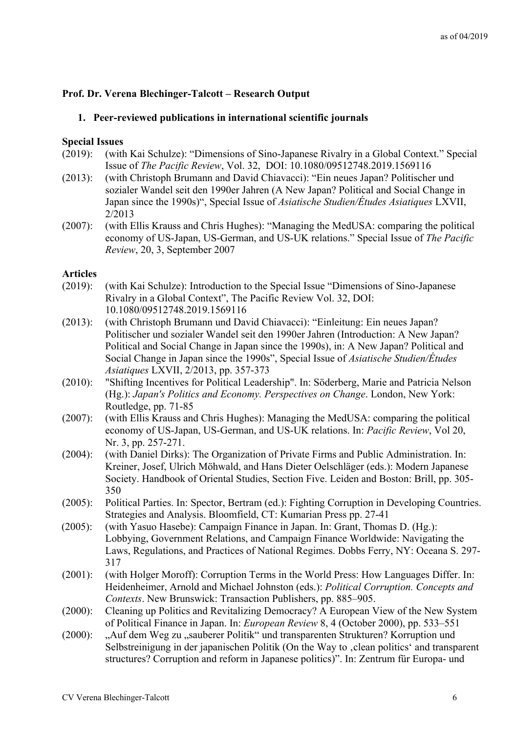# **Prof. Dr. Verena Blechinger-Talcott – Research Output**

## **1. Peer-reviewed publications in international scientific journals**

#### **Special Issues**

- (2019): (with Kai Schulze): "Dimensions of Sino-Japanese Rivalry in a Global Context." Special Issue of *The Pacific Review*, Vol. 32, DOI: 10.1080/09512748.2019.1569116
- (2013): (with Christoph Brumann and David Chiavacci): "Ein neues Japan? Politischer und sozialer Wandel seit den 1990er Jahren (A New Japan? Political and Social Change in Japan since the 1990s)", Special Issue of *Asiatische Studien/Études Asiatiques* LXVII, 2/2013
- (2007): (with Ellis Krauss and Chris Hughes): "Managing the MedUSA: comparing the political economy of US-Japan, US-German, and US-UK relations." Special Issue of *The Pacific Review*, 20, 3, September 2007

#### **Articles**

- (2019): (with Kai Schulze): Introduction to the Special Issue "Dimensions of Sino-Japanese Rivalry in a Global Context", The Pacific Review Vol. 32, DOI: 10.1080/09512748.2019.1569116
- (2013): (with Christoph Brumann und David Chiavacci): "Einleitung: Ein neues Japan? Politischer und sozialer Wandel seit den 1990er Jahren (Introduction: A New Japan? Political and Social Change in Japan since the 1990s), in: A New Japan? Political and Social Change in Japan since the 1990s", Special Issue of *Asiatische Studien/Études Asiatiques* LXVII, 2/2013, pp. 357-373
- (2010): "Shifting Incentives for Political Leadership". In: Söderberg, Marie and Patricia Nelson (Hg.): *Japan's Politics and Economy. Perspectives on Change*. London, New York: Routledge, pp. 71-85
- (2007): (with Ellis Krauss and Chris Hughes): Managing the MedUSA: comparing the political economy of US-Japan, US-German, and US-UK relations. In: *Pacific Review*, Vol 20, Nr. 3, pp. 257-271.
- (2004): (with Daniel Dirks): The Organization of Private Firms and Public Administration. In: Kreiner, Josef, Ulrich Möhwald, and Hans Dieter Oelschläger (eds.): Modern Japanese Society. Handbook of Oriental Studies, Section Five. Leiden and Boston: Brill, pp. 305- 350
- (2005): Political Parties. In: Spector, Bertram (ed.): Fighting Corruption in Developing Countries. Strategies and Analysis. Bloomfield, CT: Kumarian Press pp. 27-41
- (2005): (with Yasuo Hasebe): Campaign Finance in Japan. In: Grant, Thomas D. (Hg.): Lobbying, Government Relations, and Campaign Finance Worldwide: Navigating the Laws, Regulations, and Practices of National Regimes. Dobbs Ferry, NY: Oceana S. 297- 317
- (2001): (with Holger Moroff): Corruption Terms in the World Press: How Languages Differ. In: Heidenheimer, Arnold and Michael Johnston (eds.): *Political Corruption. Concepts and Contexts*. New Brunswick: Transaction Publishers, pp. 885–905.
- (2000): Cleaning up Politics and Revitalizing Democracy? A European View of the New System of Political Finance in Japan. In: *European Review* 8, 4 (October 2000), pp. 533–551
- (2000): "Auf dem Weg zu "sauberer Politik" und transparenten Strukturen? Korruption und Selbstreinigung in der japanischen Politik (On the Way to , clean politics' and transparent structures? Corruption and reform in Japanese politics)". In: Zentrum für Europa- und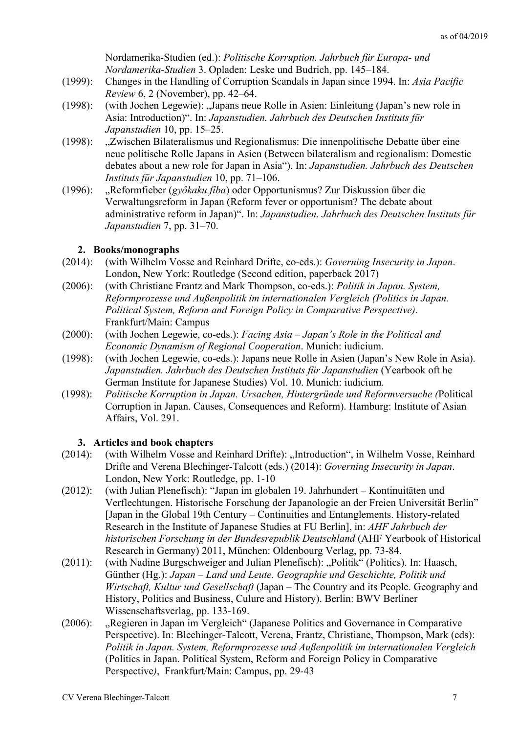Nordamerika-Studien (ed.): *Politische Korruption. Jahrbuch für Europa- und Nordamerika-Studien* 3. Opladen: Leske und Budrich, pp. 145–184.

- (1999): Changes in the Handling of Corruption Scandals in Japan since 1994. In: *Asia Pacific Review* 6, 2 (November), pp. 42–64.
- (1998): (with Jochen Legewie): "Japans neue Rolle in Asien: Einleitung (Japan's new role in Asia: Introduction)". In: *Japanstudien. Jahrbuch des Deutschen Instituts für Japanstudien* 10, pp. 15–25.
- (1998): "Zwischen Bilateralismus und Regionalismus: Die innenpolitische Debatte über eine neue politische Rolle Japans in Asien (Between bilateralism and regionalism: Domestic debates about a new role for Japan in Asia"). In: *Japanstudien. Jahrbuch des Deutschen Instituts für Japanstudien* 10, pp. 71–106.
- (1996): "Reformfieber (*gyôkaku fîba*) oder Opportunismus? Zur Diskussion über die Verwaltungsreform in Japan (Reform fever or opportunism? The debate about administrative reform in Japan)". In: *Japanstudien. Jahrbuch des Deutschen Instituts für Japanstudien* 7, pp. 31–70.

# **2. Books/monographs**

- (2014): (with Wilhelm Vosse and Reinhard Drifte, co-eds.): *Governing Insecurity in Japan*. London, New York: Routledge (Second edition, paperback 2017)
- (2006): (with Christiane Frantz and Mark Thompson, co-eds.): *Politik in Japan. System, Reformprozesse und Außenpolitik im internationalen Vergleich (Politics in Japan. Political System, Reform and Foreign Policy in Comparative Perspective)*. Frankfurt/Main: Campus
- (2000): (with Jochen Legewie, co-eds.): *Facing Asia – Japan's Role in the Political and Economic Dynamism of Regional Cooperation*. Munich: iudicium.
- (1998): (with Jochen Legewie, co-eds.): Japans neue Rolle in Asien (Japan's New Role in Asia). *Japanstudien. Jahrbuch des Deutschen Instituts für Japanstudien* (Yearbook oft he German Institute for Japanese Studies) Vol. 10. Munich: iudicium.
- (1998): *Politische Korruption in Japan. Ursachen, Hintergründe und Reformversuche (*Political Corruption in Japan. Causes, Consequences and Reform). Hamburg: Institute of Asian Affairs, Vol. 291.

## **3. Articles and book chapters**

- (2014): (with Wilhelm Vosse and Reinhard Drifte): "Introduction", in Wilhelm Vosse, Reinhard Drifte and Verena Blechinger-Talcott (eds.) (2014): *Governing Insecurity in Japan*. London, New York: Routledge, pp. 1-10
- (2012): (with Julian Plenefisch): "Japan im globalen 19. Jahrhundert Kontinuitäten und Verflechtungen. Historische Forschung der Japanologie an der Freien Universität Berlin" [Japan in the Global 19th Century – Continuities and Entanglements. History-related Research in the Institute of Japanese Studies at FU Berlin], in: *AHF Jahrbuch der historischen Forschung in der Bundesrepublik Deutschland* (AHF Yearbook of Historical Research in Germany) 2011, München: Oldenbourg Verlag, pp. 73-84.
- (2011): (with Nadine Burgschweiger and Julian Plenefisch): "Politik" (Politics). In: Haasch, Günther (Hg.): *Japan – Land und Leute. Geographie und Geschichte, Politik und Wirtschaft, Kultur und Gesellschaft* (Japan – The Country and its People. Geography and History, Politics and Business, Culure and History). Berlin: BWV Berliner Wissenschaftsverlag, pp. 133-169.
- (2006): "Regieren in Japan im Vergleich" (Japanese Politics and Governance in Comparative Perspective). In: Blechinger-Talcott, Verena, Frantz, Christiane, Thompson, Mark (eds): *Politik in Japan. System, Reformprozesse und Außenpolitik im internationalen Vergleich* (Politics in Japan. Political System, Reform and Foreign Policy in Comparative Perspective*)*, Frankfurt/Main: Campus, pp. 29-43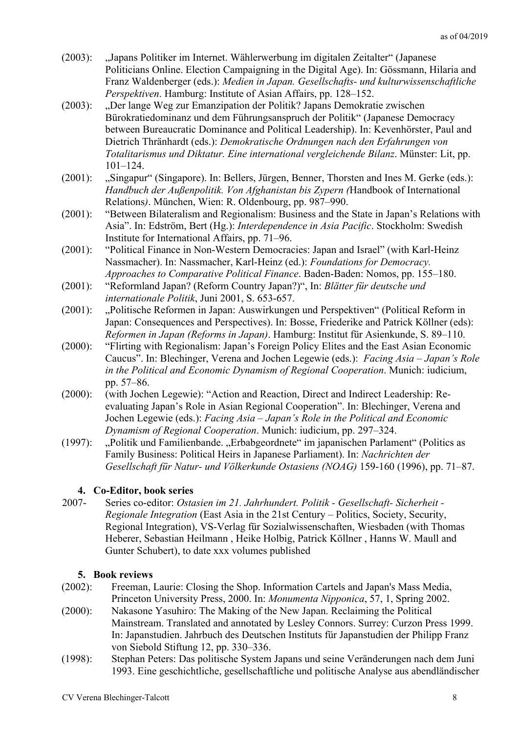- (2003): "Japans Politiker im Internet. Wählerwerbung im digitalen Zeitalter" (Japanese Politicians Online. Election Campaigning in the Digital Age). In: Gössmann, Hilaria and Franz Waldenberger (eds.): *Medien in Japan. Gesellschafts- und kulturwissenschaftliche Perspektiven*. Hamburg: Institute of Asian Affairs, pp. 128–152.
- (2003): "Der lange Weg zur Emanzipation der Politik? Japans Demokratie zwischen Bürokratiedominanz und dem Führungsanspruch der Politik" (Japanese Democracy between Bureaucratic Dominance and Political Leadership). In: Kevenhörster, Paul and Dietrich Thränhardt (eds.): *Demokratische Ordnungen nach den Erfahrungen von Totalitarismus und Diktatur. Eine international vergleichende Bilanz*. Münster: Lit, pp. 101–124.
- (2001): "Singapur" (Singapore). In: Bellers, Jürgen, Benner, Thorsten and Ines M. Gerke (eds.): *Handbuch der Außenpolitik. Von Afghanistan bis Zypern (*Handbook of International Relations*)*. München, Wien: R. Oldenbourg, pp. 987–990.
- (2001): "Between Bilateralism and Regionalism: Business and the State in Japan's Relations with Asia". In: Edström, Bert (Hg.): *Interdependence in Asia Pacific*. Stockholm: Swedish Institute for International Affairs, pp. 71–96.
- (2001): "Political Finance in Non-Western Democracies: Japan and Israel" (with Karl-Heinz Nassmacher). In: Nassmacher, Karl-Heinz (ed.): *Foundations for Democracy. Approaches to Comparative Political Finance*. Baden-Baden: Nomos, pp. 155–180.
- (2001): "Reformland Japan? (Reform Country Japan?)", In: *Blätter für deutsche und internationale Politik*, Juni 2001, S. 653-657.
- (2001): "Politische Reformen in Japan: Auswirkungen und Perspektiven" (Political Reform in Japan: Consequences and Perspectives). In: Bosse, Friederike and Patrick Köllner (eds): *Reformen in Japan (Reforms in Japan)*. Hamburg: Institut für Asienkunde, S. 89–110.
- (2000): "Flirting with Regionalism: Japan's Foreign Policy Elites and the East Asian Economic Caucus". In: Blechinger, Verena and Jochen Legewie (eds.): *Facing Asia – Japan's Role in the Political and Economic Dynamism of Regional Cooperation*. Munich: iudicium, pp. 57–86.
- (2000): (with Jochen Legewie): "Action and Reaction, Direct and Indirect Leadership: Reevaluating Japan's Role in Asian Regional Cooperation". In: Blechinger, Verena and Jochen Legewie (eds.): *Facing Asia – Japan's Role in the Political and Economic Dynamism of Regional Cooperation*. Munich: iudicium, pp. 297–324.
- (1997): "Politik und Familienbande. "Erbabgeordnete" im japanischen Parlament" (Politics as Family Business: Political Heirs in Japanese Parliament). In: *Nachrichten der Gesellschaft für Natur- und Völkerkunde Ostasiens (NOAG)* 159-160 (1996), pp. 71–87.

# **4. Co-Editor, book series**

2007- Series co-editor: *Ostasien im 21. Jahrhundert. Politik - Gesellschaft- Sicherheit - Regionale Integration* (East Asia in the 21st Century – Politics, Society, Security, Regional Integration), VS-Verlag für Sozialwissenschaften, Wiesbaden (with Thomas Heberer, Sebastian Heilmann , Heike Holbig, Patrick Köllner , Hanns W. Maull and Gunter Schubert), to date xxx volumes published

# **5. Book reviews**

- (2002): Freeman, Laurie: Closing the Shop. Information Cartels and Japan's Mass Media, Princeton University Press, 2000. In: *Monumenta Nipponica*, 57, 1, Spring 2002.
- (2000): Nakasone Yasuhiro: The Making of the New Japan. Reclaiming the Political Mainstream. Translated and annotated by Lesley Connors. Surrey: Curzon Press 1999. In: Japanstudien. Jahrbuch des Deutschen Instituts für Japanstudien der Philipp Franz von Siebold Stiftung 12, pp. 330–336.
- (1998): Stephan Peters: Das politische System Japans und seine Veränderungen nach dem Juni 1993. Eine geschichtliche, gesellschaftliche und politische Analyse aus abendländischer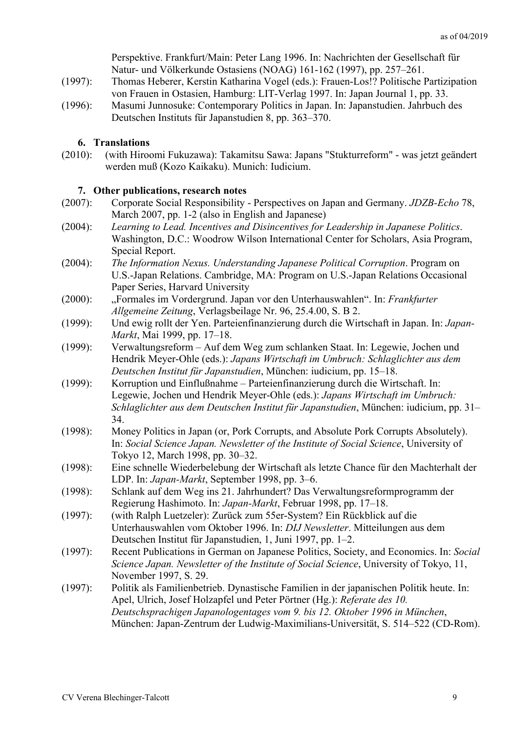|            | Perspektive. Frankfurt/Main: Peter Lang 1996. In: Nachrichten der Gesellschaft für    |
|------------|---------------------------------------------------------------------------------------|
|            | Natur- und Völkerkunde Ostasiens (NOAG) 161-162 (1997), pp. 257-261.                  |
| $(1997)$ : | Thomas Heberer, Kerstin Katharina Vogel (eds.): Frauen-Los!? Politische Partizipation |
|            | von Frauen in Ostasien, Hamburg: LIT-Verlag 1997. In: Japan Journal 1, pp. 33.        |
| (1996):    | Masumi Junnosuke: Contemporary Politics in Japan. In: Japanstudien. Jahrbuch des      |
|            | Deutschen Instituts für Japanstudien 8, pp. 363–370.                                  |
|            | <b>6.</b> Translations                                                                |
| $(2010)$ : | (with Hiroomi Fukuzawa): Takamitsu Sawa: Japans "Stukturreform" - was jetzt geändert  |

# **7. Other publications, research notes**

werden muß (Kozo Kaikaku). Munich: Iudicium.

|            | 7. Other publications, research holes                                                     |
|------------|-------------------------------------------------------------------------------------------|
| $(2007)$ : | Corporate Social Responsibility - Perspectives on Japan and Germany. <i>JDZB-Echo</i> 78, |
|            | March 2007, pp. 1-2 (also in English and Japanese)                                        |

- (2004): *Learning to Lead. Incentives and Disincentives for Leadership in Japanese Politics*. Washington, D.C.: Woodrow Wilson International Center for Scholars, Asia Program, Special Report.
- (2004): *The Information Nexus. Understanding Japanese Political Corruption*. Program on U.S.-Japan Relations. Cambridge, MA: Program on U.S.-Japan Relations Occasional Paper Series, Harvard University
- (2000): "Formales im Vordergrund. Japan vor den Unterhauswahlen". In: *Frankfurter Allgemeine Zeitung*, Verlagsbeilage Nr. 96, 25.4.00, S. B 2.
- (1999): Und ewig rollt der Yen. Parteienfinanzierung durch die Wirtschaft in Japan. In: *Japan-Markt*, Mai 1999, pp. 17–18.
- (1999): Verwaltungsreform Auf dem Weg zum schlanken Staat. In: Legewie, Jochen und Hendrik Meyer-Ohle (eds.): *Japans Wirtschaft im Umbruch: Schlaglichter aus dem Deutschen Institut für Japanstudien*, München: iudicium, pp. 15–18.
- (1999): Korruption und Einflußnahme Parteienfinanzierung durch die Wirtschaft. In: Legewie, Jochen und Hendrik Meyer-Ohle (eds.): *Japans Wirtschaft im Umbruch: Schlaglichter aus dem Deutschen Institut für Japanstudien*, München: iudicium, pp. 31– 34.
- (1998): Money Politics in Japan (or, Pork Corrupts, and Absolute Pork Corrupts Absolutely). In: *Social Science Japan. Newsletter of the Institute of Social Science*, University of Tokyo 12, March 1998, pp. 30–32.
- (1998): Eine schnelle Wiederbelebung der Wirtschaft als letzte Chance für den Machterhalt der LDP. In: *Japan-Markt*, September 1998, pp. 3–6.
- (1998): Schlank auf dem Weg ins 21. Jahrhundert? Das Verwaltungsreformprogramm der Regierung Hashimoto. In: *Japan-Markt*, Februar 1998, pp. 17–18.
- (1997): (with Ralph Luetzeler): Zurück zum 55er-System? Ein Rückblick auf die Unterhauswahlen vom Oktober 1996. In: *DIJ Newsletter*. Mitteilungen aus dem Deutschen Institut für Japanstudien, 1, Juni 1997, pp. 1–2.
- (1997): Recent Publications in German on Japanese Politics, Society, and Economics. In: *Social Science Japan. Newsletter of the Institute of Social Science*, University of Tokyo, 11, November 1997, S. 29.
- (1997): Politik als Familienbetrieb. Dynastische Familien in der japanischen Politik heute. In: Apel, Ulrich, Josef Holzapfel und Peter Pörtner (Hg.): *Referate des 10. Deutschsprachigen Japanologentages vom 9. bis 12. Oktober 1996 in München*, München: Japan-Zentrum der Ludwig-Maximilians-Universität, S. 514–522 (CD-Rom).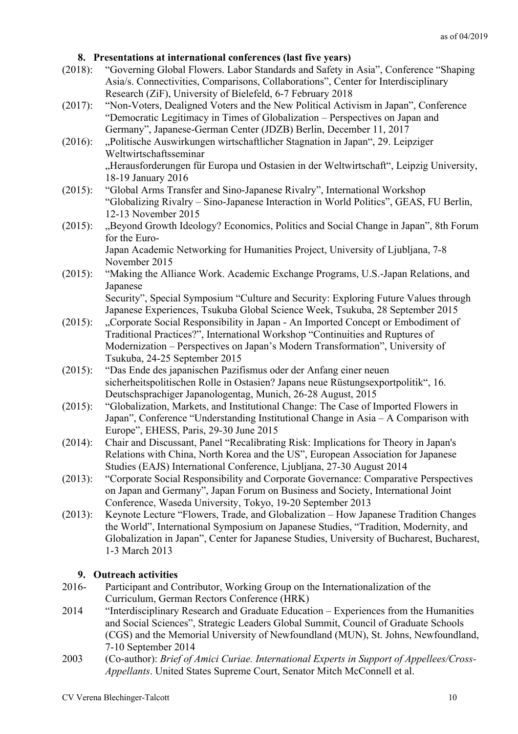## **8. Presentations at international conferences (last five years)**

- (2018): "Governing Global Flowers. Labor Standards and Safety in Asia", Conference "Shaping Asia/s. Connectivities, Comparisons, Collaborations", Center for Interdisciplinary Research (ZiF), University of Bielefeld, 6-7 February 2018
- (2017): "Non-Voters, Dealigned Voters and the New Political Activism in Japan", Conference "Democratic Legitimacy in Times of Globalization – Perspectives on Japan and Germany", Japanese-German Center (JDZB) Berlin, December 11, 2017
- (2016): "Politische Auswirkungen wirtschaftlicher Stagnation in Japan", 29. Leipziger Weltwirtschaftsseminar "Herausforderungen für Europa und Ostasien in der Weltwirtschaft", Leipzig University, 18-19 January 2016
- (2015): "Global Arms Transfer and Sino-Japanese Rivalry", International Workshop "Globalizing Rivalry – Sino-Japanese Interaction in World Politics", GEAS, FU Berlin, 12-13 November 2015
- (2015): "Beyond Growth Ideology? Economics, Politics and Social Change in Japan", 8th Forum for the Euro-Japan Academic Networking for Humanities Project, University of Ljubljana, 7-8 November 2015
- (2015): "Making the Alliance Work. Academic Exchange Programs, U.S.-Japan Relations, and Japanese Security", Special Symposium "Culture and Security: Exploring Future Values through

Japanese Experiences, Tsukuba Global Science Week, Tsukuba, 28 September 2015

- (2015): "Corporate Social Responsibility in Japan An Imported Concept or Embodiment of Traditional Practices?", International Workshop "Continuities and Ruptures of Modernization – Perspectives on Japan's Modern Transformation", University of Tsukuba, 24-25 September 2015
- (2015): "Das Ende des japanischen Pazifismus oder der Anfang einer neuen sicherheitspolitischen Rolle in Ostasien? Japans neue Rüstungsexportpolitik", 16. Deutschsprachiger Japanologentag, Munich, 26-28 August, 2015
- (2015): "Globalization, Markets, and Institutional Change: The Case of Imported Flowers in Japan", Conference "Understanding Institutional Change in Asia – A Comparison with Europe", EHESS, Paris, 29-30 June 2015
- (2014): Chair and Discussant, Panel "Recalibrating Risk: Implications for Theory in Japan's Relations with China, North Korea and the US", European Association for Japanese Studies (EAJS) International Conference, Ljubljana, 27-30 August 2014
- (2013): "Corporate Social Responsibility and Corporate Governance: Comparative Perspectives on Japan and Germany", Japan Forum on Business and Society, International Joint Conference, Waseda University, Tokyo, 19-20 September 2013
- (2013): Keynote Lecture "Flowers, Trade, and Globalization How Japanese Tradition Changes the World", International Symposium on Japanese Studies, "Tradition, Modernity, and Globalization in Japan", Center for Japanese Studies, University of Bucharest, Bucharest, 1-3 March 2013

## **9. Outreach activities**

- 2016- Participant and Contributor, Working Group on the Internationalization of the Curriculum, German Rectors Conference (HRK)
- 2014 "Interdisciplinary Research and Graduate Education Experiences from the Humanities and Social Sciences", Strategic Leaders Global Summit, Council of Graduate Schools (CGS) and the Memorial University of Newfoundland (MUN), St. Johns, Newfoundland, 7-10 September 2014
- 2003 (Co-author): *Brief of Amici Curiae. International Experts in Support of Appellees/Cross-Appellants*. United States Supreme Court, Senator Mitch McConnell et al.